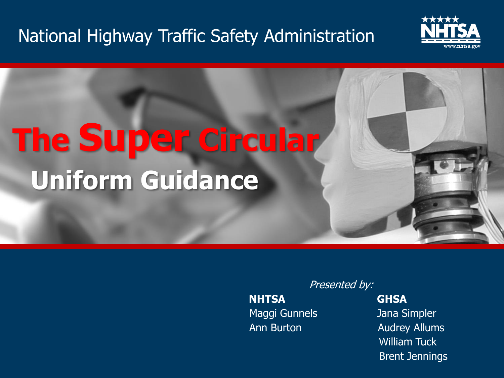#### National Highway Traffic Safety Administration



# **The Super Circular Uniform Guidance**

**NHTSA GHSA** Maggi Gunnels **Jana Simpler** 

Presented by: Ann Burton **Audrey Allums** William Tuck Brent Jennings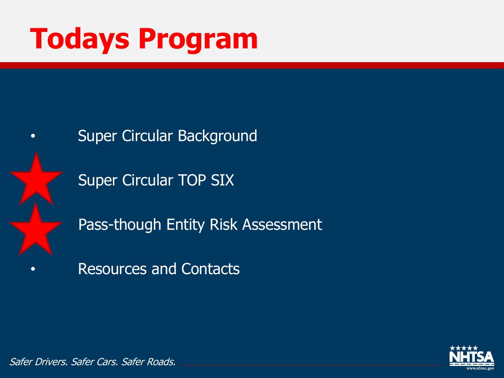# **Todays Program**



- **Super Circular Background** 
	- Super Circular TOP SIX
	- Pass-though Entity Risk Assessment
- Resources and Contacts

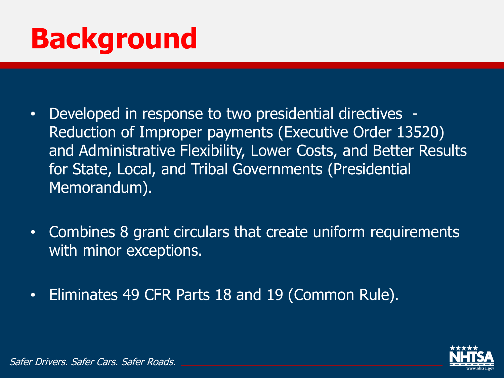# **Background**

- Developed in response to two presidential directives Reduction of Improper payments (Executive Order 13520) and Administrative Flexibility, Lower Costs, and Better Results for State, Local, and Tribal Governments (Presidential Memorandum).
- Combines 8 grant circulars that create uniform requirements with minor exceptions.
- Eliminates 49 CFR Parts 18 and 19 (Common Rule).

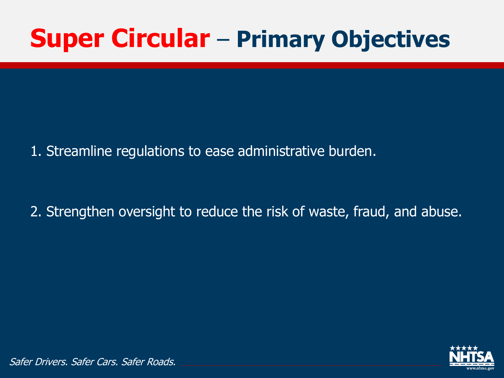## **Super Circular** – **Primary Objectives**

1. Streamline regulations to ease administrative burden.

2. Strengthen oversight to reduce the risk of waste, fraud, and abuse.

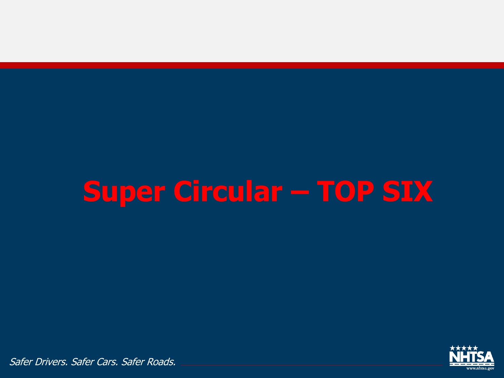# **Super Circular – TOP SIX**

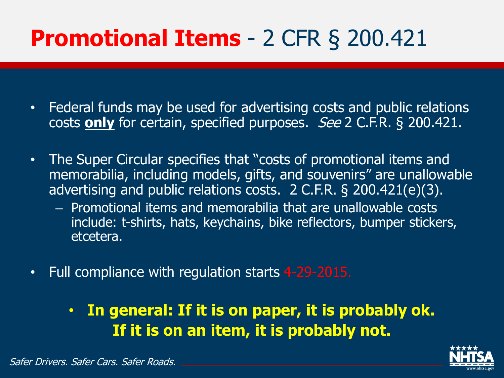## **Promotional Items** - 2 CFR § 200.421

- Federal funds may be used for advertising costs and public relations costs **only** for certain, specified purposes. See 2 C.F.R. § 200.421.
- The Super Circular specifies that "costs of promotional items and memorabilia, including models, gifts, and souvenirs" are unallowable advertising and public relations costs. 2 C.F.R. § 200.421(e)(3).
	- Promotional items and memorabilia that are unallowable costs include: t-shirts, hats, keychains, bike reflectors, bumper stickers, etcetera.
- Full compliance with regulation starts 4-29-2015.
	- **In general: If it is on paper, it is probably ok. If it is on an item, it is probably not.**

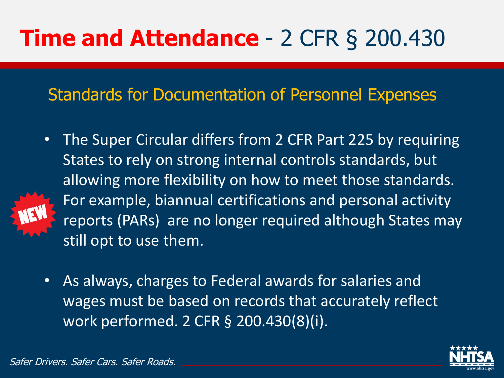## **Time and Attendance** - 2 CFR § 200.430

Standards for Documentation of Personnel Expenses

- The Super Circular differs from 2 CFR Part 225 by requiring States to rely on strong internal controls standards, but allowing more flexibility on how to meet those standards. For example, biannual certifications and personal activity reports (PARs) are no longer required although States may still opt to use them.
- As always, charges to Federal awards for salaries and wages must be based on records that accurately reflect work performed. 2 CFR § 200.430(8)(i).

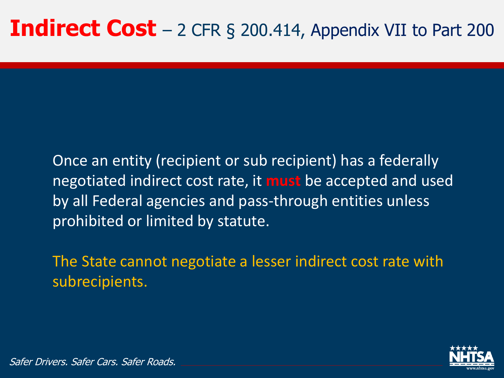Once an entity (recipient or sub recipient) has a federally negotiated indirect cost rate, it **must** be accepted and used by all Federal agencies and pass-through entities unless prohibited or limited by statute.

The State cannot negotiate a lesser indirect cost rate with subrecipients.

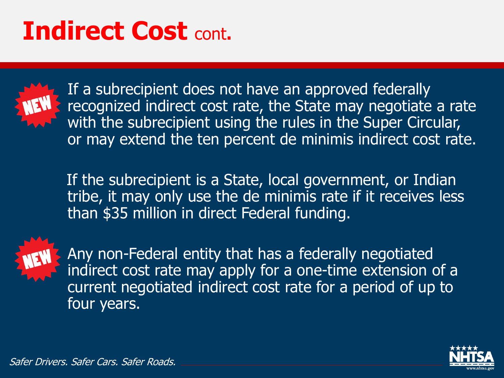## **Indirect Cost** cont**.**



If a subrecipient does not have an approved federally recognized indirect cost rate, the State may negotiate a rate with the subrecipient using the rules in the Super Circular, or may extend the ten percent de minimis indirect cost rate.

If the subrecipient is a State, local government, or Indian tribe, it may only use the de minimis rate if it receives less than \$35 million in direct Federal funding.



Any non-Federal entity that has a federally negotiated indirect cost rate may apply for a one-time extension of a current negotiated indirect cost rate for a period of up to four years.

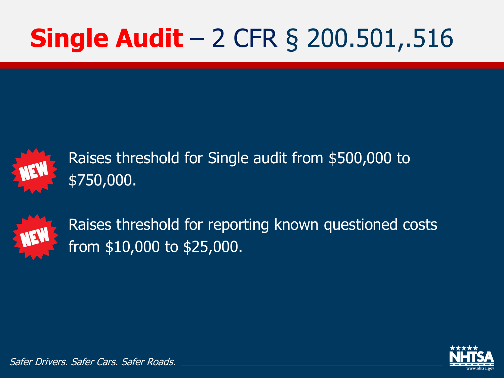# **Single Audit** – 2 CFR § 200.501,.516



Raises threshold for Single audit from \$500,000 to \$750,000.



Raises threshold for reporting known questioned costs from \$10,000 to \$25,000.

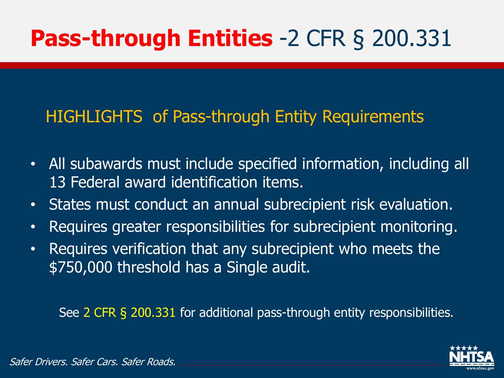## **Pass-through Entities** -2 CFR § 200.331

#### HIGHLIGHTS of Pass-through Entity Requirements

- All subawards must include specified information, including all 13 Federal award identification items.
- States must conduct an annual subrecipient risk evaluation.
- Requires greater responsibilities for subrecipient monitoring.
- Requires verification that any subrecipient who meets the \$750,000 threshold has a Single audit.

See 2 CFR § 200.331 for additional pass-through entity responsibilities.

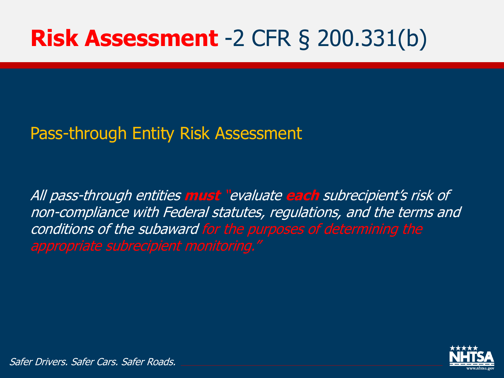## **Risk Assessment** -2 CFR § 200.331(b)

#### Pass-through Entity Risk Assessment

All pass-through entities **must** "evaluate **each** subrecipient's risk of non-compliance with Federal statutes, regulations, and the terms and conditions of the subaward for the purposes of determining the

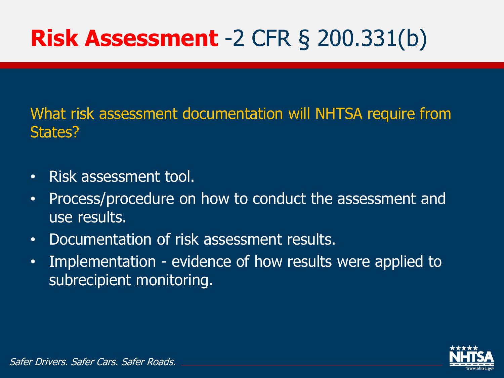## **Risk Assessment** -2 CFR § 200.331(b)

What risk assessment documentation will NHTSA require from States?

- Risk assessment tool.
- Process/procedure on how to conduct the assessment and use results.
- Documentation of risk assessment results.
- Implementation evidence of how results were applied to subrecipient monitoring.

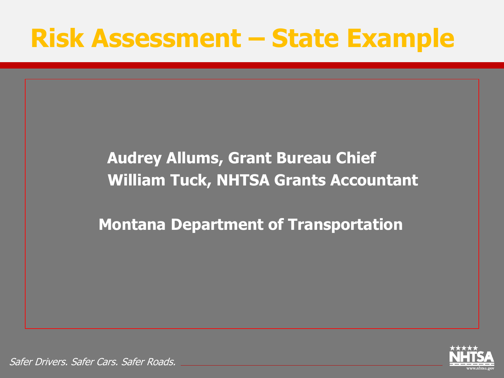## **Risk Assessment – State Example**

#### **Audrey Allums, Grant Bureau Chief William Tuck, NHTSA Grants Accountant**

**Montana Department of Transportation**

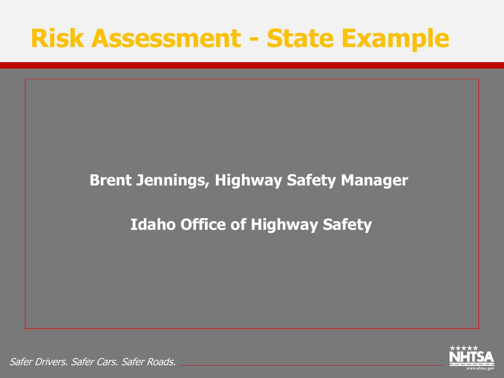## **Risk Assessment - State Example**

#### **Brent Jennings, Highway Safety Manager**

#### **Idaho Office of Highway Safety**

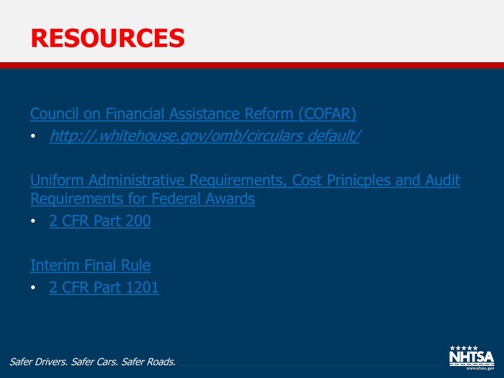

[Council on Financial Assistance Reform \(COFAR\)](http://www.whitehouse.gov/omb/circulars_default/)

• [http://.whitehouse.gov/omb/circulars default/](http://www.whitehouse.gov/omb/circulars_default/)

[Uniform Administrative Requirements, Cost Prinicples](http://www.ecfr.gov/cgi-bin/text-idx?tpl=/ecfrbrowse/Title02/2cfr200_main_02.tpl) and Audit Requirements for Federal Awards

• [2 CFR Part 200](http://www.ecfr.gov/cgi-bin/text-idx?tpl=/ecfrbrowse/Title02/2cfr200_main_02.tpl)

#### [Interim Final Rule](http://www.ecfr.gov/cgi-bin/retrieveECFR?gp=1&ty=HTML&h=L&r=PART&n=pt2.1.1201)

• [2 CFR Part 1201](http://www.ecfr.gov/cgi-bin/retrieveECFR?gp=1&ty=HTML&h=L&r=PART&n=pt2.1.1201)

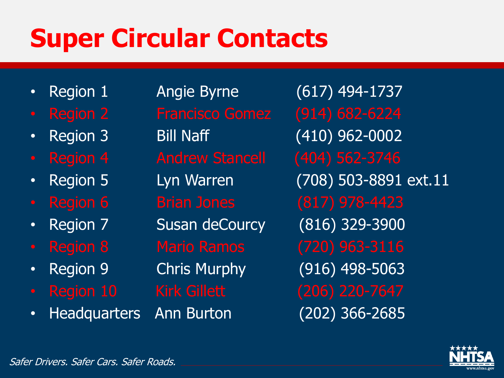## **Super Circular Contacts**

- 
- 
- 
- 
- 
- 
- 
- 
- 
- 
- Headquarters Ann Burton (202) 366-2685

• Region 1 Angie Byrne (617) 494-1737 • Region 3 Bill Naff (410) 962-0002 • Region 7 Susan deCourcy (816) 329-3900 • Region 9 Chris Murphy (916) 498-5063

• Region 5 Lyn Warren (708) 503-8891 ext.11

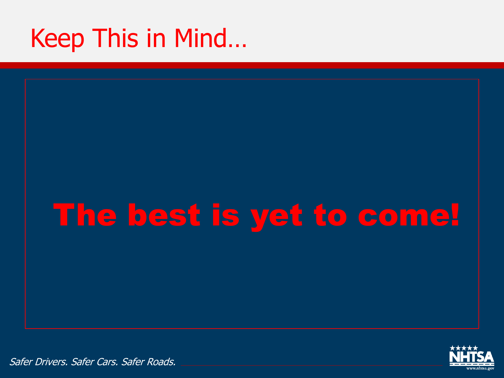## Keep This in Mind…

# The best is yet to come!